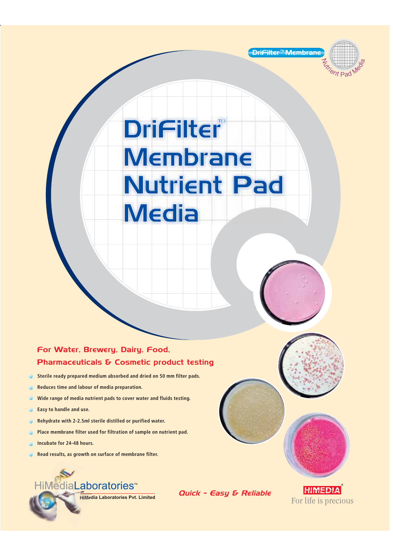



DriFilter Membrane Membrane Nutrient Pad Nutrient Pad **Media** 

### For Water, Brewery, Dairy, Food, Pharmaceuticals & Cosmetic product testing

- **Sterile ready prepared medium absorbed and dried on 50 mm filter pads.**  $\bullet$
- **Reduces time and labour of media preparation.**
- **Wide range of media nutrient pads to cover water and fluids testing.**
- **Easy to handle and use.**
- **Rehydrate with 2-2.5ml sterile distilled or purified water.**
- **Place membrane filter used for filtration of sample on nutrient pad.**
- **Incubate for 24-48 hours.**
- **Read results, as growth on surface of membrane filter.**



Quick - Easy & Reliable

**HIMEDIA** For life is precious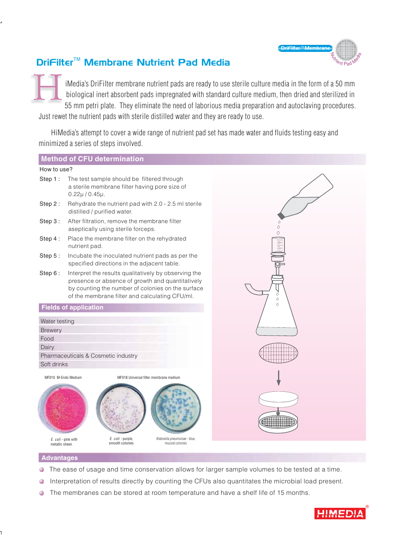

## DriFilter<sup>™</sup> Membrane Nutrient Pad Media

iMedia's DriFilter membrane nutrient pads are ready to use sterile culture media in the form of a 50 mm biological inert absorbent pads impregnated with standard culture medium, then dried and sterilized in 55 mm petri plate. They eliminate the need of laborious media preparation and autoclaving procedures. H

Just rewet the nutrient pads with sterile distilled water and they are ready to use.

HiMedia's attempt to cover a wide range of nutrient pad set has made water and fluids testing easy and minimized a series of steps involved.

#### **Method of CFU determination**

#### How to use?



#### **Advantages**

- The ease of usage and time conservation allows for larger sample volumes to be tested at a time.
- Interpretation of results directly by counting the CFUs also quantitates the microbial load present.
- The membranes can be stored at room temperature and have a shelf life of 15 months.

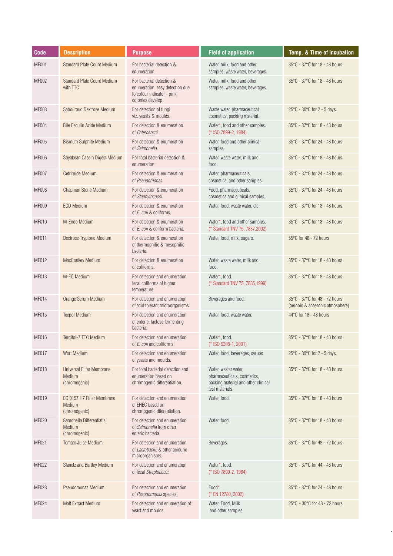| Code         | <b>Description</b>                                          | <b>Purpose</b>                                                                                                  | <b>Field of application</b>                                                                                   | Temp. & Time of incubation                                        |
|--------------|-------------------------------------------------------------|-----------------------------------------------------------------------------------------------------------------|---------------------------------------------------------------------------------------------------------------|-------------------------------------------------------------------|
| <b>MF001</b> | Standard Plate Count Medium                                 | For bacterial detection &<br>enumeration.                                                                       | Water, milk, food and other<br>samples, waste water, beverages.                                               | 35°C - 37°C for 18 - 48 hours                                     |
| MF002        | <b>Standard Plate Count Medium</b><br>with TTC              | For bacterial detection &<br>enumeration, easy detection due<br>to colour indicator - pink<br>colonies develop. | Water, milk, food and other<br>samples, waste water, beverages.                                               | 35°C - 37°C for 18 - 48 hours                                     |
| MF003        | Sabouraud Dextrose Medium                                   | For detection of fungi<br>viz. yeasts & moulds.                                                                 | Waste water, pharmaceutical<br>cosmetics, packing material.                                                   | 25°C - 30°C for 2 - 5 days                                        |
| <b>MF004</b> | Bile Esculin Azide Medium                                   | For detection & enumeration<br>of Enterococci.                                                                  | Water*, food and other samples.<br>(* ISO 7899-2, 1984)                                                       | 35°C - 37°C for 18 - 48 hours                                     |
| <b>MF005</b> | <b>Bismuth Sulphite Medium</b>                              | For detection & enumeration<br>of Salmonella.                                                                   | Water, food and other clinical<br>samples.                                                                    | 35°C - 37°C for 24 - 48 hours                                     |
| <b>MF006</b> | Soyabean Casein Digest Medium                               | For total bacterial detection &<br>enumeration.                                                                 | Water, waste water, milk and<br>food.                                                                         | 35°C - 37°C for 18 - 48 hours                                     |
| <b>MF007</b> | Cetrimide Medium                                            | For detection & enumeration<br>of Pseudomonas.                                                                  | Water, pharmaceuticals,<br>cosmetics and other samples.                                                       | 35°C - 37°C for 24 - 48 hours                                     |
| <b>MF008</b> | Chapman Stone Medium                                        | For detection & enumeration<br>of Staphylococci.                                                                | Food, pharmaceuticals,<br>cosmetics and clinical samples.                                                     | 35°C - 37°C for 24 - 48 hours                                     |
| MF009        | <b>ECD Medium</b>                                           | For detection & enumeration<br>of E. coli & coliforms.                                                          | Water, food, waste water, etc.                                                                                | 35°C - 37°C for 18 - 48 hours                                     |
| MF010        | M-Endo Medium                                               | For detection & enumeration<br>of E. coli & coliform bacteria.                                                  | Water*, food and other samples.<br>(* Standard TNV 75, 7837, 2002)                                            | 35°C - 37°C for 18 - 48 hours                                     |
| <b>MF011</b> | Dextrose Tryptone Medium                                    | For detection & enumeration<br>of thermophilic & mesophilic<br>bacteria.                                        | Water, food, milk, sugars.                                                                                    | 55°C for 48 - 72 hours                                            |
| MF012        | MacConkey Medium                                            | For detection & enumeration<br>of coliforms.                                                                    | Water, waste water, milk and<br>food.                                                                         | 35°C - 37°C for 18 - 48 hours                                     |
| <b>MF013</b> | M-FC Medium                                                 | For detection and enumeration<br>fecal coliforms of higher<br>temperature.                                      | Water*, food.<br>(* Standard TNV 75, 7835, 1999)                                                              | 35°C - 37°C for 18 - 48 hours                                     |
| <b>MF014</b> | Orange Serum Medium                                         | For detection and enumeration<br>of acid tolerant microorganisms.                                               | Beverages and food.                                                                                           | 35°C - 37°C for 48 - 72 hours<br>(aerobic & anaerobic atmosphere) |
| MF015        | <b>Teepol Medium</b>                                        | For detection and enumeration<br>of enteric, lactose fermenting<br>bacteria.                                    | Water, food, waste water.                                                                                     | 44°C for 18 - 48 hours                                            |
| <b>MF016</b> | Tergitol-7 TTC Medium                                       | For detection and enumeration<br>of E. coli and coliforms.                                                      | Water*, food.<br>$(*$ ISO 9308-1, 2001)                                                                       | 35°C - 37°C for 18 - 48 hours                                     |
| <b>MF017</b> | <b>Wort Medium</b>                                          | For detection and enumeration<br>of yeasts and moulds.                                                          | Water, food, beverages, syrups.                                                                               | $25^{\circ}$ C - 30 $^{\circ}$ C for 2 - 5 days                   |
| <b>MF018</b> | <b>Universal Filter Membrane</b><br>Medium<br>(chromogenic) | For total bacterial detection and<br>enumeration based on<br>chromogenic differentiation.                       | Water, waster water,<br>pharmaceuticals, cosmetics,<br>packing material and other clinical<br>test materials. | 35°C - 37°C for 18 - 48 hours                                     |
| MF019        | EC 0157:H7 Filter Membrane<br>Medium<br>(chromogenic)       | For detection and enumeration<br>of EHEC based on<br>chromogenic diferentiation.                                | Water, food.                                                                                                  | 35°C - 37°C for 18 - 48 hours                                     |
| MF020        | Samonella Differentiatial<br>Medium<br>(chromogenic)        | For detection and enumeration<br>of <i>Salmonella</i> from other<br>enteric bacteria.                           | Water, food.                                                                                                  | 35°C - 37°C for 18 - 48 hours                                     |
| MF021        | <b>Tomato Juice Medium</b>                                  | For detection and enumeration<br>of Lactobacilli & other aciduric<br>microorganisms.                            | Beverages.                                                                                                    | 35°C - 37°C for 48 - 72 hours                                     |
| MF022        | Slanetz and Bartley Medium                                  | For detection and enumeration<br>of fecal Streptococci.                                                         | Water*, food.<br>(* ISO 7899-2, 1984)                                                                         | 35°C - 37°C for 44 - 48 hours                                     |
| MF023        | Pseudomonas Medium                                          | For detection and enumeration<br>of Pseudomonas species.                                                        | Food*.<br>(* EN 12780, 2002)                                                                                  | 35°C - 37°C for 24 - 48 hours                                     |
| MF024        | <b>Malt Extract Medium</b>                                  | For detection and enumeration of<br>yeast and moulds.                                                           | Water, Food, Milk<br>and other samples                                                                        | 25°C - 30°C for 48 - 72 hours                                     |